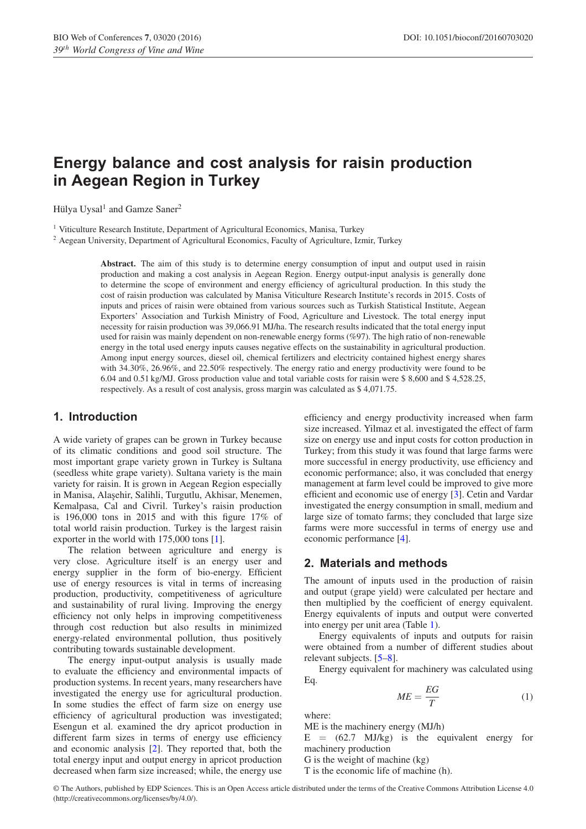# **Energy balance and cost analysis for raisin production in Aegean Region in Turkey**

Hülya Uysal<sup>1</sup> and Gamze Saner<sup>2</sup>

<sup>1</sup> Viticulture Research Institute, Department of Agricultural Economics, Manisa, Turkey

<sup>2</sup> Aegean University, Department of Agricultural Economics, Faculty of Agriculture, Izmir, Turkey

**Abstract.** The aim of this study is to determine energy consumption of input and output used in raisin production and making a cost analysis in Aegean Region. Energy output-input analysis is generally done to determine the scope of environment and energy efficiency of agricultural production. In this study the cost of raisin production was calculated by Manisa Viticulture Research Institute's records in 2015. Costs of inputs and prices of raisin were obtained from various sources such as Turkish Statistical Institute, Aegean Exporters' Association and Turkish Ministry of Food, Agriculture and Livestock. The total energy input necessity for raisin production was 39,066.91 MJ/ha. The research results indicated that the total energy input used for raisin was mainly dependent on non-renewable energy forms (%97). The high ratio of non-renewable energy in the total used energy inputs causes negative effects on the sustainability in agricultural production. Among input energy sources, diesel oil, chemical fertilizers and electricity contained highest energy shares with 34.30%, 26.96%, and 22.50% respectively. The energy ratio and energy productivity were found to be 6.04 and 0.51 kg/MJ. Gross production value and total variable costs for raisin were \$ 8,600 and \$ 4,528.25, respectively. As a result of cost analysis, gross margin was calculated as \$ 4,071.75.

## **1. Introduction**

A wide variety of grapes can be grown in Turkey because of its climatic conditions and good soil structure. The most important grape variety grown in Turkey is Sultana (seedless white grape variety). Sultana variety is the main variety for raisin. It is grown in Aegean Region especially in Manisa, Alaşehir, Salihli, Turgutlu, Akhisar, Menemen, Kemalpasa, Cal and Civril. Turkey's raisin production is 196,000 tons in 2015 and with this figure 17% of total world raisin production. Turkey is the largest raisin exporter in the world with 175,000 tons [\[1\]](#page-3-0).

The relation between agriculture and energy is very close. Agriculture itself is an energy user and energy supplier in the form of bio-energy. Efficient use of energy resources is vital in terms of increasing production, productivity, competitiveness of agriculture and sustainability of rural living. Improving the energy efficiency not only helps in improving competitiveness through cost reduction but also results in minimized energy-related environmental pollution, thus positively contributing towards sustainable development.

The energy input-output analysis is usually made to evaluate the efficiency and environmental impacts of production systems. In recent years, many researchers have investigated the energy use for agricultural production. In some studies the effect of farm size on energy use efficiency of agricultural production was investigated; Esengun et al. examined the dry apricot production in different farm sizes in terms of energy use efficiency and economic analysis [\[2\]](#page-3-1). They reported that, both the total energy input and output energy in apricot production decreased when farm size increased; while, the energy use efficiency and energy productivity increased when farm size increased. Yilmaz et al. investigated the effect of farm size on energy use and input costs for cotton production in Turkey; from this study it was found that large farms were more successful in energy productivity, use efficiency and economic performance; also, it was concluded that energy management at farm level could be improved to give more efficient and economic use of energy [\[3\]](#page-3-2). Cetin and Vardar investigated the energy consumption in small, medium and large size of tomato farms; they concluded that large size farms were more successful in terms of energy use and economic performance [\[4](#page-3-3)].

## **2. Materials and methods**

The amount of inputs used in the production of raisin and output (grape yield) were calculated per hectare and then multiplied by the coefficient of energy equivalent. Energy equivalents of inputs and output were converted into energy per unit area (Table [1\)](#page-1-0).

Energy equivalents of inputs and outputs for raisin were obtained from a number of different studies about relevant subjects. [\[5](#page-3-4)[–8](#page-3-5)].

Energy equivalent for machinery was calculated using Eq.

$$
ME = \frac{EG}{T} \tag{1}
$$

where:

ME is the machinery energy (MJ/h)

 $E = (62.7 \text{ MJ/kg})$  is the equivalent energy for machinery production

G is the weight of machine (kg)

T is the economic life of machine (h).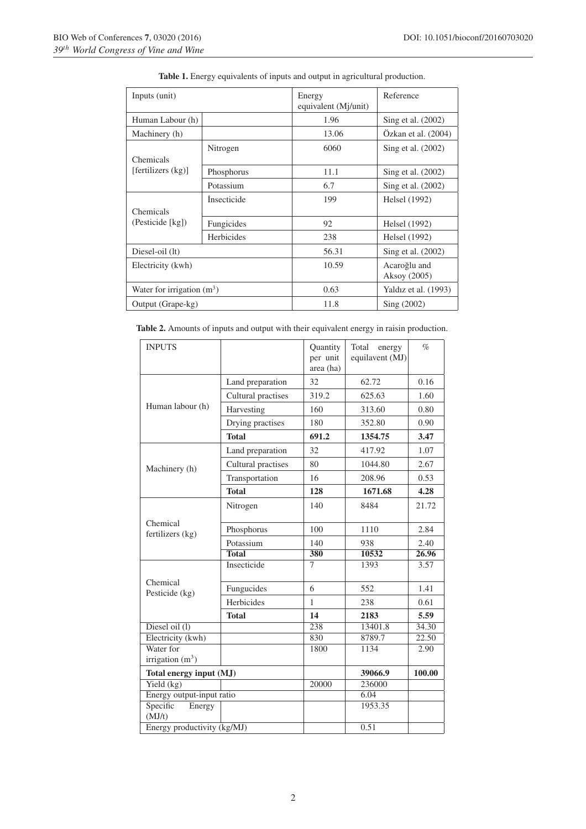<span id="page-1-0"></span>

| Inputs (unit)                   |             | Energy<br>equivalent (Mj/unit) | Reference                    |  |
|---------------------------------|-------------|--------------------------------|------------------------------|--|
| Human Labour (h)                |             | 1.96                           | Sing et al. $(2002)$         |  |
| Machinery (h)                   |             | 13.06                          | Ozkan et al. (2004)          |  |
| Chemicals<br>[fertilizers (kg)] | Nitrogen    | 6060                           | Sing et al. (2002)           |  |
|                                 | Phosphorus  | 11.1                           | Sing et al. (2002)           |  |
|                                 | Potassium   | 6.7                            | Sing et al. (2002)           |  |
| Chemicals<br>(Pesticide [kg])   | Insecticide | 199                            | Helsel (1992)                |  |
|                                 | Fungicides  | 92                             | Helsel (1992)                |  |
|                                 | Herbicides  | 238                            | Helsel (1992)                |  |
| Diesel-oil (lt)                 |             | 56.31                          | Sing et al. (2002)           |  |
| Electricity (kwh)               |             | 10.59                          | Acaroğlu and<br>Aksoy (2005) |  |
| Water for irrigation $(m^3)$    |             | 0.63                           | Yaldız et al. (1993)         |  |
| Output (Grape-kg)               |             | 11.8                           | Sing (2002)                  |  |

**Table 1.** Energy equivalents of inputs and output in agricultural production.

**Table 2.** Amounts of inputs and output with their equivalent energy in raisin production.

| <b>INPUTS</b>                |                    | Quantity<br>per unit<br>area (ha) | Total<br>energy<br>equilavent (MJ) | $\%$   |
|------------------------------|--------------------|-----------------------------------|------------------------------------|--------|
|                              | Land preparation   | 32                                | 62.72                              | 0.16   |
|                              | Cultural practises | 319.2                             | 625.63                             | 1.60   |
| Human labour (h)             | Harvesting         | 160                               | 313.60                             | 0.80   |
|                              | Drying practises   | 180                               | 352.80                             | 0.90   |
|                              | <b>Total</b>       | 691.2                             | 1354.75                            | 3.47   |
|                              | Land preparation   | 32                                | 417.92                             | 1.07   |
| Machinery (h)                | Cultural practises | 80                                | 1044.80                            | 2.67   |
|                              | Transportation     | 16                                | 208.96                             | 0.53   |
|                              | <b>Total</b>       | 128                               | 1671.68                            | 4.28   |
|                              | Nitrogen           | 140                               | 8484                               | 21.72  |
| Chemical<br>fertilizers (kg) | Phosphorus         | 100                               | 1110                               | 2.84   |
|                              | Potassium          | 140                               | 938                                | 2.40   |
|                              | <b>Total</b>       | 380                               | 10532                              | 26.96  |
|                              | Insecticide        | $\overline{7}$                    | 1393                               | 3.57   |
| Chemical<br>Pesticide (kg)   | Fungucides         | 6                                 | 552                                | 1.41   |
|                              | Herbicides         | 1                                 | 238                                | 0.61   |
|                              | <b>Total</b>       | 14                                | 2183                               | 5.59   |
| Diesel oil $(l)$             |                    | 238                               | 13401.8                            | 34.30  |
| Electricity (kwh)            |                    | 830                               | 8789.7                             | 22.50  |
| Water for                    |                    | 1800                              | 1134                               | 2.90   |
| irrigation $(m^3)$           |                    |                                   |                                    |        |
| Total energy input (MJ)      |                    |                                   | 39066.9                            | 100.00 |
| Yield $(kg)$                 |                    | 20000                             | 236000                             |        |
| Energy output-input ratio    |                    |                                   | 6.04                               |        |
| Specific<br>Energy           |                    |                                   | 1953.35                            |        |
| (MJ/t)                       |                    |                                   |                                    |        |
| Energy productivity (kg/MJ)  |                    |                                   | 0.51                               |        |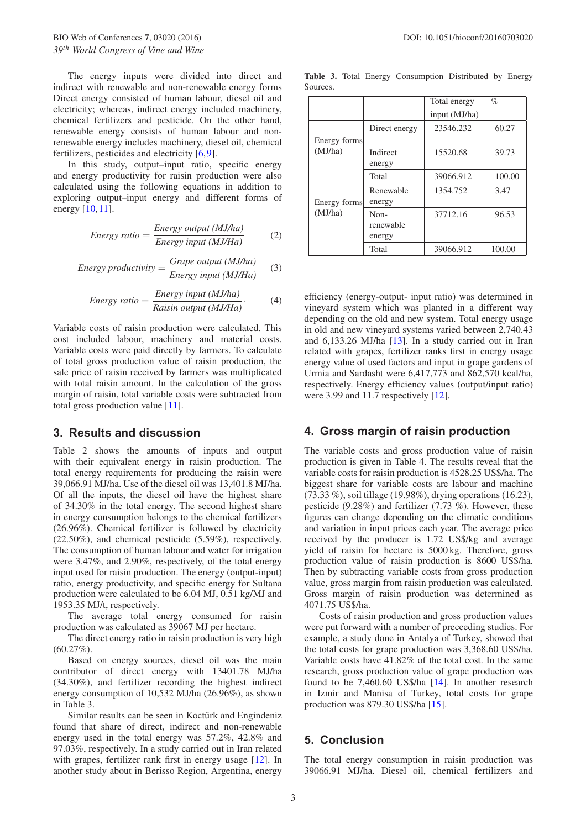The energy inputs were divided into direct and indirect with renewable and non-renewable energy forms Direct energy consisted of human labour, diesel oil and electricity; whereas, indirect energy included machinery, chemical fertilizers and pesticide. On the other hand, renewable energy consists of human labour and nonrenewable energy includes machinery, diesel oil, chemical fertilizers, pesticides and electricity [\[6,](#page-3-6)[9\]](#page-3-7).

In this study, output–input ratio, specific energy and energy productivity for raisin production were also calculated using the following equations in addition to exploring output–input energy and different forms of energy [\[10](#page-3-8)[,11](#page-3-9)].

Energy ratio = 
$$
\frac{Energy \ output (MJ/ha)}{Energy \ input (MJ/Ha)}
$$
 (2)

Energy productivity = 
$$
\frac{Grape\ output\ (MJ/ha)}{Energy\ input\ (MJ/Ha)} \qquad (3)
$$

Energy ratio = 
$$
\frac{Energy input (MJ/ha)}{Raisin output (MJ/Ha)}.
$$
 (4)

Variable costs of raisin production were calculated. This cost included labour, machinery and material costs. Variable costs were paid directly by farmers. To calculate of total gross production value of raisin production, the sale price of raisin received by farmers was multiplicated with total raisin amount. In the calculation of the gross margin of raisin, total variable costs were subtracted from total gross production value [\[11\]](#page-3-9).

### **3. Results and discussion**

Table 2 shows the amounts of inputs and output with their equivalent energy in raisin production. The total energy requirements for producing the raisin were 39,066.91 MJ/ha. Use of the diesel oil was 13,401.8 MJ/ha. Of all the inputs, the diesel oil have the highest share of 34.30% in the total energy. The second highest share in energy consumption belongs to the chemical fertilizers (26.96%). Chemical fertilizer is followed by electricity (22.50%), and chemical pesticide (5.59%), respectively. The consumption of human labour and water for irrigation were 3.47%, and 2.90%, respectively, of the total energy input used for raisin production. The energy (output-input) ratio, energy productivity, and specific energy for Sultana production were calculated to be 6.04 MJ, 0.51 kg/MJ and 1953.35 MJ/t, respectively.

The average total energy consumed for raisin production was calculated as 39067 MJ per hectare.

The direct energy ratio in raisin production is very high  $(60.27\%)$ .

Based on energy sources, diesel oil was the main contributor of direct energy with 13401.78 MJ/ha (34.30%), and fertilizer recording the highest indirect energy consumption of 10,532 MJ/ha (26.96%), as shown in Table 3.

Similar results can be seen in Koctürk and Engindeniz found that share of direct, indirect and non-renewable energy used in the total energy was 57.2%, 42.8% and 97.03%, respectively. In a study carried out in Iran related with grapes, fertilizer rank first in energy usage [\[12](#page-3-10)]. In another study about in Berisso Region, Argentina, energy

|              |                             | Total energy  | $\%$   |
|--------------|-----------------------------|---------------|--------|
|              |                             | input (MJ/ha) |        |
| Energy forms | Direct energy               | 23546.232     | 60.27  |
| (MJ/ha)      | Indirect<br>energy          | 15520.68      | 39.73  |
|              | Total                       | 39066.912     | 100.00 |
| Energy forms | Renewable<br>energy         | 1354.752      | 3.47   |
| (MJ/ha)      | Non-<br>renewable<br>energy | 37712.16      | 96.53  |
|              | Total                       | 39066.912     | 100.00 |

**Table 3.** Total Energy Consumption Distributed by Energy Sources.

efficiency (energy-output- input ratio) was determined in vineyard system which was planted in a different way depending on the old and new system. Total energy usage in old and new vineyard systems varied between 2,740.43 and 6,133.26 MJ/ha [\[13\]](#page-3-11). In a study carried out in Iran related with grapes, fertilizer ranks first in energy usage energy value of used factors and input in grape gardens of Urmia and Sardasht were 6,417,773 and 862,570 kcal/ha, respectively. Energy efficiency values (output/input ratio) were 3.99 and 11.7 respectively [\[12](#page-3-10)].

### **4. Gross margin of raisin production**

The variable costs and gross production value of raisin production is given in Table 4. The results reveal that the variable costs for raisin production is 4528.25 US\$/ha. The biggest share for variable costs are labour and machine (73.33 %), soil tillage (19.98%), drying operations (16.23), pesticide (9.28%) and fertilizer (7.73 %). However, these figures can change depending on the climatic conditions and variation in input prices each year. The average price received by the producer is 1.72 US\$/kg and average yield of raisin for hectare is 5000 kg. Therefore, gross production value of raisin production is 8600 US\$/ha. Then by subtracting variable costs from gross production value, gross margin from raisin production was calculated. Gross margin of raisin production was determined as 4071.75 US\$/ha.

Costs of raisin production and gross production values were put forward with a number of preceeding studies. For example, a study done in Antalya of Turkey, showed that the total costs for grape production was 3,368.60 US\$/ha. Variable costs have 41.82% of the total cost. In the same research, gross production value of grape production was found to be 7,460.60 US\$/ha [\[14](#page-3-12)]. In another research in Izmir and Manisa of Turkey, total costs for grape production was 879.30 US\$/ha [\[15](#page-3-13)].

## **5. Conclusion**

The total energy consumption in raisin production was 39066.91 MJ/ha. Diesel oil, chemical fertilizers and